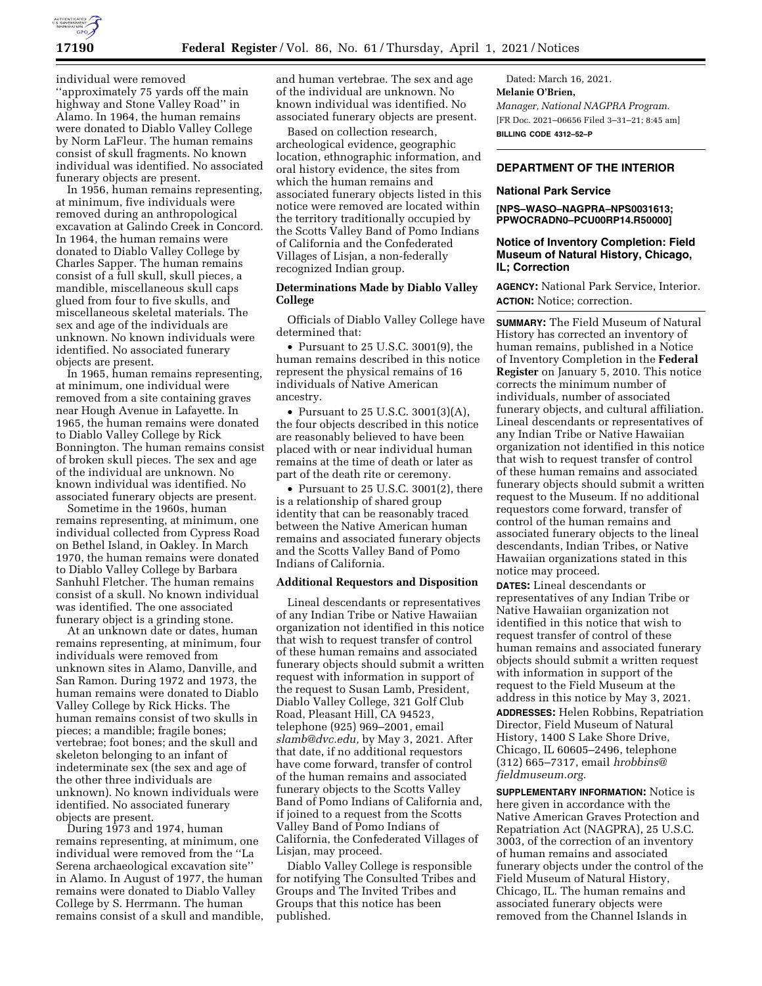

individual were removed ''approximately 75 yards off the main highway and Stone Valley Road'' in Alamo. In 1964, the human remains were donated to Diablo Valley College by Norm LaFleur. The human remains consist of skull fragments. No known individual was identified. No associated funerary objects are present.

In 1956, human remains representing, at minimum, five individuals were removed during an anthropological excavation at Galindo Creek in Concord. In 1964, the human remains were donated to Diablo Valley College by Charles Sapper. The human remains consist of a full skull, skull pieces, a mandible, miscellaneous skull caps glued from four to five skulls, and miscellaneous skeletal materials. The sex and age of the individuals are unknown. No known individuals were identified. No associated funerary objects are present.

In 1965, human remains representing, at minimum, one individual were removed from a site containing graves near Hough Avenue in Lafayette. In 1965, the human remains were donated to Diablo Valley College by Rick Bonnington. The human remains consist of broken skull pieces. The sex and age of the individual are unknown. No known individual was identified. No associated funerary objects are present.

Sometime in the 1960s, human remains representing, at minimum, one individual collected from Cypress Road on Bethel Island, in Oakley. In March 1970, the human remains were donated to Diablo Valley College by Barbara Sanhuhl Fletcher. The human remains consist of a skull. No known individual was identified. The one associated funerary object is a grinding stone.

At an unknown date or dates, human remains representing, at minimum, four individuals were removed from unknown sites in Alamo, Danville, and San Ramon. During 1972 and 1973, the human remains were donated to Diablo Valley College by Rick Hicks. The human remains consist of two skulls in pieces; a mandible; fragile bones; vertebrae; foot bones; and the skull and skeleton belonging to an infant of indeterminate sex (the sex and age of the other three individuals are unknown). No known individuals were identified. No associated funerary objects are present.

During 1973 and 1974, human remains representing, at minimum, one individual were removed from the ''La Serena archaeological excavation site'' in Alamo. In August of 1977, the human remains were donated to Diablo Valley College by S. Herrmann. The human remains consist of a skull and mandible,

and human vertebrae. The sex and age of the individual are unknown. No known individual was identified. No associated funerary objects are present.

Based on collection research, archeological evidence, geographic location, ethnographic information, and oral history evidence, the sites from which the human remains and associated funerary objects listed in this notice were removed are located within the territory traditionally occupied by the Scotts Valley Band of Pomo Indians of California and the Confederated Villages of Lisjan, a non-federally recognized Indian group.

## **Determinations Made by Diablo Valley College**

Officials of Diablo Valley College have determined that:

• Pursuant to 25 U.S.C. 3001(9), the human remains described in this notice represent the physical remains of 16 individuals of Native American ancestry.

• Pursuant to 25 U.S.C. 3001(3)(A), the four objects described in this notice are reasonably believed to have been placed with or near individual human remains at the time of death or later as part of the death rite or ceremony.

• Pursuant to 25 U.S.C. 3001(2), there is a relationship of shared group identity that can be reasonably traced between the Native American human remains and associated funerary objects and the Scotts Valley Band of Pomo Indians of California.

## **Additional Requestors and Disposition**

Lineal descendants or representatives of any Indian Tribe or Native Hawaiian organization not identified in this notice that wish to request transfer of control of these human remains and associated funerary objects should submit a written request with information in support of the request to Susan Lamb, President, Diablo Valley College, 321 Golf Club Road, Pleasant Hill, CA 94523, telephone (925) 969–2001, email *[slamb@dvc.edu,](mailto:slamb@dvc.edu)* by May 3, 2021. After that date, if no additional requestors have come forward, transfer of control of the human remains and associated funerary objects to the Scotts Valley Band of Pomo Indians of California and, if joined to a request from the Scotts Valley Band of Pomo Indians of California, the Confederated Villages of Lisjan, may proceed.

Diablo Valley College is responsible for notifying The Consulted Tribes and Groups and The Invited Tribes and Groups that this notice has been published.

Dated: March 16, 2021. **Melanie O'Brien,**  *Manager, National NAGPRA Program.*  [FR Doc. 2021–06656 Filed 3–31–21; 8:45 am] **BILLING CODE 4312–52–P** 

## **DEPARTMENT OF THE INTERIOR**

## **National Park Service**

#### **[NPS–WASO–NAGPRA–NPS0031613; PPWOCRADN0–PCU00RP14.R50000]**

## **Notice of Inventory Completion: Field Museum of Natural History, Chicago, IL; Correction**

**AGENCY:** National Park Service, Interior. **ACTION:** Notice; correction.

**SUMMARY:** The Field Museum of Natural History has corrected an inventory of human remains, published in a Notice of Inventory Completion in the **Federal Register** on January 5, 2010. This notice corrects the minimum number of individuals, number of associated funerary objects, and cultural affiliation. Lineal descendants or representatives of any Indian Tribe or Native Hawaiian organization not identified in this notice that wish to request transfer of control of these human remains and associated funerary objects should submit a written request to the Museum. If no additional requestors come forward, transfer of control of the human remains and associated funerary objects to the lineal descendants, Indian Tribes, or Native Hawaiian organizations stated in this notice may proceed.

**DATES:** Lineal descendants or representatives of any Indian Tribe or Native Hawaiian organization not identified in this notice that wish to request transfer of control of these human remains and associated funerary objects should submit a written request with information in support of the request to the Field Museum at the address in this notice by May 3, 2021.

**ADDRESSES:** Helen Robbins, Repatriation Director, Field Museum of Natural History, 1400 S Lake Shore Drive, Chicago, IL 60605–2496, telephone (312) 665–7317, email *[hrobbins@](mailto:hrobbins@fieldmuseum.org) [fieldmuseum.org.](mailto:hrobbins@fieldmuseum.org)* 

**SUPPLEMENTARY INFORMATION:** Notice is here given in accordance with the Native American Graves Protection and Repatriation Act (NAGPRA), 25 U.S.C. 3003, of the correction of an inventory of human remains and associated funerary objects under the control of the Field Museum of Natural History, Chicago, IL. The human remains and associated funerary objects were removed from the Channel Islands in